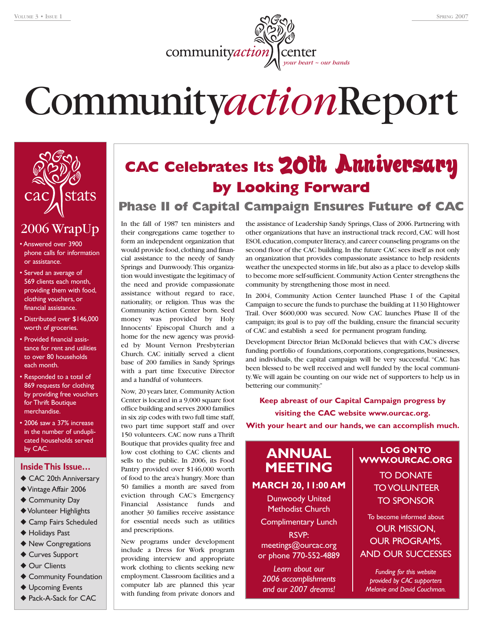

# Community*action*Report



# 2006 WrapUp

- Answered over 3900 phone calls for information or assistance.
- Served an average of 569 clients each month, providing them with food, clothing vouchers, or financial assistance.
- Distributed over \$146,000 worth of groceries.
- Provided financial assistance for rent and utilities to over 80 households each month.
- Responded to a total of 869 requests for clothing by providing free vouchers for Thrift Boutique merchandise.
- 2006 saw a 37% increase in the number of unduplicated households served by CAC.

#### **Inside This Issue…**

- ◆ CAC 20th Anniversary
- ◆Vintage Affair 2006
- ◆ Community Day
- ◆Volunteer Highlights
- ◆ Camp Fairs Scheduled
- ◆ Holidays Past
- ◆ New Congregations
- ◆ Curves Support
- ◆ Our Clients
- ◆ Community Foundation
- ◆ Upcoming Events
- ◆ Pack-A-Sack for CAC

# **CAC Celebrates Its** 20th Anniversary **by Looking Forward**

#### **Phase II of Capital Campaign Ensures Future of CAC**

In the fall of 1987 ten ministers and their congregations came together to form an independent organization that would provide food,clothing and financial assistance to the needy of Sandy Springs and Dunwoody. This organization would investigate the legitimacy of the need and provide compassionate assistance without regard to race, nationality, or religion. Thus was the Community Action Center born. Seed money was provided by Holy Innocents' Episcopal Church and a home for the new agency was provided by Mount Vernon Presbyterian Church. CAC initially served a client base of 200 families in Sandy Springs with a part time Executive Director and a handful of volunteers.

Now, 20 years later, Community Action Center is located in a 9,000 square foot office building and serves 2000 families in six zip codes with two full time staff, two part time support staff and over 150 volunteers. CAC now runs a Thrift Boutique that provides quality free and low cost clothing to CAC clients and sells to the public. In 2006, its Food Pantry provided over \$146,000 worth of food to the area's hungry. More than 50 families a month are saved from eviction through CAC's Emergency Financial Assistance funds and another 30 families receive assistance for essential needs such as utilities and prescriptions.

New programs under development include a Dress for Work program providing interview and appropriate work clothing to clients seeking new employment. Classroom facilities and a computer lab are planned this year with funding from private donors and

the assistance of Leadership Sandy Springs, Class of 2006. Partnering with other organizations that have an instructional track record, CAC will host ESOL education,computer literacy,and career counseling programs on the second floor of the CAC building. In the future CAC sees itself as not only an organization that provides compassionate assistance to help residents weather the unexpected storms in life,but also as a place to develop skills to become more self-sufficient.Community Action Center strengthens the community by strengthening those most in need.

In 2004, Community Action Center launched Phase I of the Capital Campaign to secure the funds to purchase the building at 1130 Hightower Trail. Over \$600,000 was secured. Now CAC launches Phase II of the campaign; its goal is to pay off the building, ensure the financial security of CAC and establish a seed for permanent program funding.

Development Director Brian McDonald believes that with CAC's diverse funding portfolio of foundations, corporations, congregations, businesses, and individuals, the capital campaign will be very successful."CAC has been blessed to be well received and well funded by the local community.We will again be counting on our wide net of supporters to help us in bettering our community."

**Keep abreast of our Capital Campaign progress by visiting the CAC website www.ourcac.org.**

#### **With your heart and our hands, we can accomplish much.**

### **ANNUAL MEETING**

**MARCH 20, 11:00 AM**

Dunwoody United Methodist Church

Complimentary Lunch

RSVP: meetings@ourcac.org or phone 770-552-4889

*Learn about our 2006 accomplishments and our 2007 dreams!*

#### **LOG ON TO WWW.OURCAC.ORG** TO DONATE TO VOLUNTEER

TO SPONSOR

To become informed about OUR MISSION, OUR PROGRAMS, AND OUR SUCCESSES

*Funding for this website provided by CAC supporters Melanie and David Couchman.*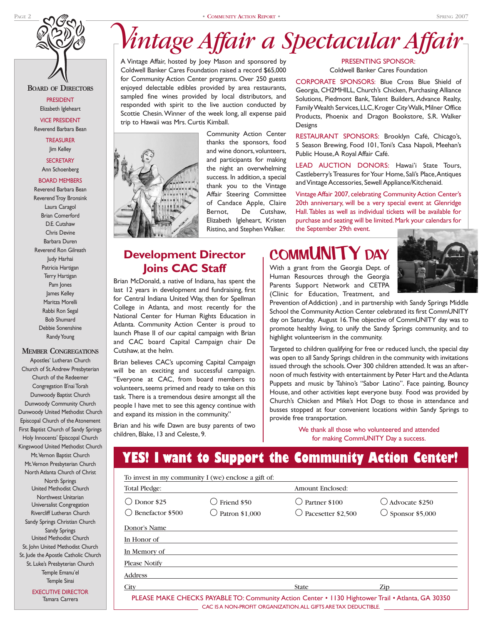# *Vintage Affair a Spectacular Affair*

A Vintage Affair, hosted by Joey Mason and sponsored by Coldwell Banker Cares Foundation raised a record \$65,000 for Community Action Center programs. Over 250 guests enjoyed delectable edibles provided by area restaurants, sampled fine wines provided by local distributors, and responded with spirit to the live auction conducted by Scottie Chesin.Winner of the week long, all expense paid trip to Hawaii was Mrs. Curtis Kimball.



Community Action Center thanks the sponsors, food and wine donors, volunteers, and participants for making the night an overwhelming success. In addition, a special thank you to the Vintage Affair Steering Committee of Candace Apple, Claire Bernot, De Cutshaw, Elizabeth Igleheart, Kristen Ristino, and Stephen Walker.

PRESENTING SPONSOR: Coldwell Banker Cares Foundation

CORPORATE SPONSORS: Blue Cross Blue Shield of Georgia, CH2MHILL, Church's Chicken, Purchasing Alliance Solutions, Piedmont Bank, Talent Builders, Advance Realty, Family Wealth Services, LLC, Kroger City Walk, Milner Office Products, Phoenix and Dragon Bookstore, S.R. Walker Designs

RESTAURANT SPONSORS: Brooklyn Café, Chicago's, 5 Season Brewing, Food 101, Toni's Casa Napoli, Meehan's Public House,A Royal Affair Café.

LEAD AUCTION DONORS: Hawai'i State Tours, Castleberry's Treasures for Your Home, Sali's Place,Antiques and Vintage Accessories, Sewell Appliance/Kitchenaid.

Vintage Affair 2007, celebrating Community Action Center's 20th anniversary, will be a very special event at Glenridge Hall.Tables as well as individual tickets will be available for purchase and seating will be limited.Mark your calendars for the September 29th event.

#### **Development Director Joins CAC Staff**

Brian McDonald, a native of Indiana, has spent the last 12 years in development and fundraising, first for Central Indiana United Way, then for Spellman College in Atlanta, and most recently for the National Center for Human Rights Education in Atlanta. Community Action Center is proud to launch Phase II of our capital campaign with Brian and CAC board Capital Campaign chair De Cutshaw, at the helm.

Brian believes CAC's upcoming Capital Campaign will be an exciting and successful campaign. "Everyone at CAC, from board members to volunteers, seems primed and ready to take on this task. There is a tremendous desire amongst all the people I have met to see this agency continue with and expand its mission in the community."

Brian and his wife Dawn are busy parents of two children, Blake, 13 and Celeste, 9.

# **COMMUNITY**

With a grant from the Georgia Dept. of Human Resources through the Georgia Parents Support Network and CETPA (Clinic for Education, Treatment, and

Prevention of Addiction) , and in partnership with Sandy Springs Middle School the Community Action Center celebrated its first CommUNITY day on Saturday, August 16.The objective of CommUNITY day was to promote healthy living, to unify the Sandy Springs community, and to highlight volunteerism in the community.

Targeted to children qualifying for free or reduced lunch, the special day was open to all Sandy Springs children in the community with invitations issued through the schools. Over 300 children attended. It was an afternoon of much festivity with entertainment by Peter Hart and the Atlanta Puppets and music by Tahino's "Sabor Latino". Face painting, Bouncy House, and other activities kept everyone busy. Food was provided by Church's Chicken and Mike's Hot Dogs to those in attendance and busses stopped at four convenient locations within Sandy Springs to provide free transportation.

> We thank all those who volunteered and attended for making CommUNITY Day a success.

# **YES! I want to Support the Community Action Center!**

|                                | To invest in my community I (we) enclose a gift of: |                                                                                                  |                                                      |
|--------------------------------|-----------------------------------------------------|--------------------------------------------------------------------------------------------------|------------------------------------------------------|
| Total Pledge:                  |                                                     | Amount Enclosed:                                                                                 |                                                      |
| Donor \$25<br>Denefactor \$500 | Friend \$50<br>Patron \$1,000                       | Partner \$100<br>$\bigcirc$ Pacesetter \$2.500                                                   | $\bigcirc$ Advocate \$250<br>$\circ$ Sponsor \$5,000 |
| Donor's Name                   |                                                     |                                                                                                  |                                                      |
| In Honor of                    |                                                     |                                                                                                  |                                                      |
| In Memory of                   |                                                     |                                                                                                  |                                                      |
| <b>Please Notify</b>           |                                                     |                                                                                                  |                                                      |
| <b>Address</b>                 |                                                     |                                                                                                  |                                                      |
| City                           |                                                     | <b>State</b>                                                                                     | Zip                                                  |
|                                |                                                     | PLEASE MAKE CHECKS PAYARLE TO: Community Action Center • 1130 Hightower Trail • Atlanta GA 30350 |                                                      |

PRESIDENT Elizabeth Igleheart VICE PRESIDENT Reverend Barbara Bean

TREASURER Jim Kelley

**BOARD OF DIRECTORS**

**SECRETARY** Ann Schoenberg

#### BOARD MEMBERS Reverend Barbara Bean

Reverend Troy Bronsink Laura Caragol Brian Comerford D.E. Cutshaw Chris Devine Barbara Duren Reverend Ron Gilreath Judy Harhai Patricia Hartigan Terry Hartigan Pam Jones James Kelley Maritza Morelli Rabbi Ron Segal Bob Shumard Debbie Sonenshine Randy Young

#### **MEMBER CONGREGATIONS**

Apostles' Lutheran Church Church of St.Andrew Presbyterian Church of the Redeemer Congregation B'nai Torah Dunwoody Baptist Church Dunwoody Community Church Dunwoody United Methodist Church Episcopal Church of the Atonement First Baptist Church of Sandy Springs Holy Innocents' Episcopal Church Kingswood United Methodist Church Mt.Vernon Baptist Church Mt.Vernon Presbyterian Church North Atlanta Church of Christ North Springs United Methodist Church Northwest Unitarian Universalist Congregation Rivercliff Lutheran Church Sandy Springs Christian Church Sandy Springs United Methodist Church St. John United Methodist Church St. Jude the Apostle Catholic Church St. Luke's Presbyterian Church Temple Emanu'el Temple Sinai

> EXECUTIVE DIRECTOR Tamara Carrera

PLEASE MAKE CHECKS PAYABLE TO: Community Action Center • 1130 Hightower Trail • Atlanta, GA 30350 CAC IS A NON-PROFIT ORGANIZATION. ALL GIFTS ARE TAX DEDUCTIBLE.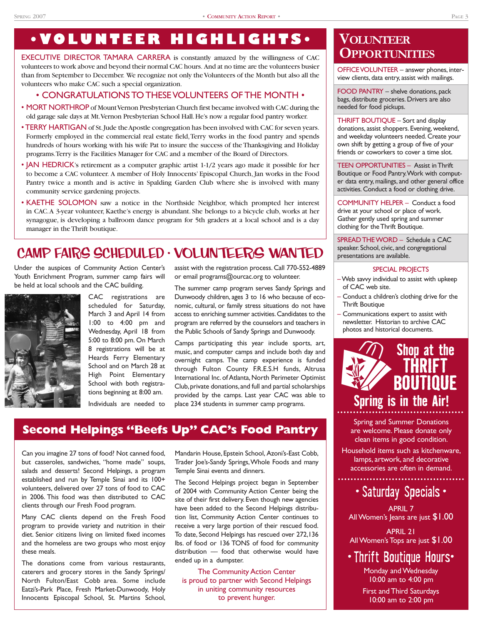# **•VOLUNTEER HIGHLIGHTS•**

EXECUTIVE DIRECTOR TAMARA CARRERA is constantly amazed by the willingness of CAC volunteers to work above and beyond their normal CAC hours. And at no time are the volunteers busier than from September to December. We recognize not only the Volunteers of the Month but also all the volunteers who make CAC such a special organization.

#### • CONGRATULATIONS TO THESE VOLUNTEERS OF THE MONTH •

- MORT NORTHROP of Mount Vernon Presbyterian Church first became involved with CAC during the old garage sale days at Mt.Vernon Presbyterian School Hall.He's now a regular food pantry worker.
- TERRY HARTIGAN of St.Jude the Apostle congregation has been involved with CAC for seven years. Formerly employed in the commercial real estate field,Terry works in the food pantry and spends hundreds of hours working with his wife Pat to insure the success of the Thanksgiving and Holiday programs.Terry is the Facilities Manager for CAC and a member of the Board of Directors.
- JAN HEDRICK's retirement as a computer graphic artist 1-1/2 years ago made it possible for her to become a CAC volunteer. A member of Holy Innocents' Episcopal Church, Jan works in the Food Pantry twice a month and is active in Spalding Garden Club where she is involved with many community service gardening projects.
- KAETHE SOLOMON saw a notice in the Northside Neighbor, which prompted her interest in CAC.A 3-year volunteer, Kaethe's energy is abundant. She belongs to a bicycle club, works at her synagogue, is developing a ballroom dance program for 5th graders at a local school and is a day manager in the Thrift boutique.

# CAMP FAIRS SCHEDULED • VOLUNTEERS WANTED

Under the auspices of Community Action Center's Youth Enrichment Program, summer camp fairs will be held at local schools and the CAC building.



CAC registrations are scheduled for Saturday, March 3 and April 14 from 1:00 to 4:00 pm and Wednesday, April 18 from 5:00 to 8:00 pm. On March 8 registrations will be at Heards Ferry Elementary School and on March 28 at High Point Elementary School with both registrations beginning at 8:00 am. Individuals are needed to

assist with the registration process. Call 770-552-4889 or email programs@ourcac.org to volunteer.

The summer camp program serves Sandy Springs and Dunwoody children, ages 3 to 16 who because of economic, cultural, or family stress situations do not have access to enriching summer activities.Candidates to the program are referred by the counselors and teachers in the Public Schools of Sandy Springs and Dunwoody.

Camps participating this year include sports, art, music, and computer camps and include both day and overnight camps. The camp experience is funded through Fulton County F.R.E.S.H funds, Altrusa International Inc. of Atlanta, North Perimeter Optimist Club,private donations,and full and partial scholarships provided by the camps. Last year CAC was able to place 234 students in summer camp programs.

#### **Second Helpings "Beefs Up" CAC's Food Pantry**

Can you imagine 27 tons of food? Not canned food, but casseroles, sandwiches, "home made" soups, salads and desserts! Second Helpings, a program established and run by Temple Sinai and its 100+ volunteers, delivered over 27 tons of food to CAC in 2006. This food was then distributed to CAC clients through our Fresh Food program.

Many CAC clients depend on the Fresh Food program to provide variety and nutrition in their diet. Senior citizens living on limited fixed incomes and the homeless are two groups who most enjoy these meals.

The donations come from various restaurants, caterers and grocery stores in the Sandy Springs/ North Fulton/East Cobb area. Some include Eatzi's-Park Place, Fresh Market-Dunwoody, Holy Innocents Episcopal School, St. Martins School, Mandarin House,Epstein School, Azoni's-East Cobb, Trader Joe's-Sandy Springs,Whole Foods and many Temple Sinai events and dinners.

The Second Helpings project began in September of 2004 with Community Action Center being the site of their first delivery. Even though new agencies have been added to the Second Helpings distribution list, Community Action Center continues to receive a very large portion of their rescued food. To date, Second Helpings has rescued over 272,136 lbs. of food or 136 TONS of food for community distribution –– food that otherwise would have ended up in a dumpster.

The Community Action Center is proud to partner with Second Helpings in uniting community resources to prevent hunger.

## **VOLUNTEER OPPORTUNITIES**

OFFICE VOLUNTEER – answer phones, interview clients, data entry, assist with mailings.

FOOD PANTRY – shelve donations, pack bags, distribute groceries. Drivers are also needed for food pickups.

THRIFT BOUTIQUE – Sort and display donations, assist shoppers. Evening, weekend, and weekday volunteers needed. Create your own shift by getting a group of five of your friends or coworkers to cover a time slot.

TEEN OPPORTUNITIES – Assist in Thrift Boutique or Food Pantry.Work with computer data entry, mailings, and other general office activities. Conduct a food or clothing drive.

COMMUNITY HELPER – Conduct a food drive at your school or place of work. Gather gently used spring and summer clothing for the Thrift Boutique.

SPREAD THE WORD – Schedule a CAC speaker. School, civic, and congregational presentations are available.

#### SPECIAL PROJECTS

- Web savvy individual to assist with upkeep of CAC web site.
- Conduct a children's clothing drive for the Thrift Boutique
- Communications expert to assist with newsletter. Historian to archive CAC photos and historical documents.



Spring and Summer Donations are welcome. Please donate only clean items in good condition.

Household items such as kitchenware, lamps, artwork, and decorative accessories are often in demand.

# • Saturday Specials •

APRIL 7 All Women's Jeans are just  $\$1.00$ 

APRIL 21 All Women's Tops are just \$1.00

# • Thrift Boutique Hours•

Monday and Wednesday 10:00 am to 4:00 pm

First and Third Saturdays 10:00 am to 2:00 pm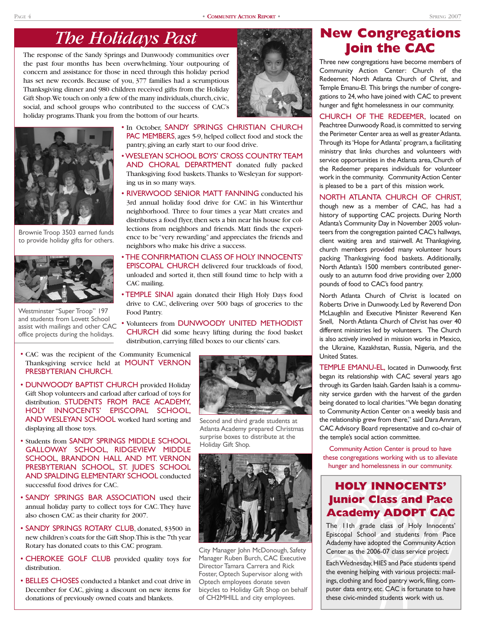# *The Holidays Past*

The response of the Sandy Springs and Dunwoody communities over the past four months has been overwhelming. Your outpouring of concern and assistance for those in need through this holiday period has set new records. Because of you, 377 families had a scrumptious Thanksgiving dinner and 980 children received gifts from the Holiday Gift Shop. We touch on only a few of the many individuals, church, civic, social, and school groups who contributed to the success of CAC's holiday programs.Thank you from the bottom of our hearts.



Brownie Troop 3503 earned funds to provide holiday gifts for others.



Westminster "Super Troop" 197 and students from Lovett School assist with mailings and other CAC office projects during the holidays.

- In October, SANDY SPRINGS CHRISTIAN CHURCH PAC MEMBERS, ages 5-9, helped collect food and stock the pantry, giving an early start to our food drive.
- WESLEYAN SCHOOL BOYS' CROSS COUNTRY TEAM AND CHORAL DEPARTMENT donated fully packed Thanksgiving food baskets.Thanks to Wesleyan for supporting us in so many ways.
- RIVERWOOD SENIOR MATT FANNING conducted his 3rd annual holiday food drive for CAC in his Winterthur neighborhood. Three to four times a year Matt creates and distributes a food flyer, then sets a bin near his house for collections from neighbors and friends. Matt finds the experience to be "very rewarding" and appreciates the friends and neighbors who make his drive a success.
- THE CONFIRMATION CLASS OF HOLY INNOCENTS' EPISCOPAL CHURCH delivered four truckloads of food, unloaded and sorted it, then still found time to help with a CAC mailing.
- TEMPLE SINAI again donated their High Holy Days food drive to CAC, delivering over 500 bags of groceries to the Food Pantry.
- Volunteers from DUNWOODY UNITED METHODIST CHURCH did some heavy lifting during the food basket distribution, carrying filled boxes to our clients' cars.
- CAC was the recipient of the Community Ecumenical Thanksgiving service held at MOUNT VERNON PRESBYTERIAN CHURCH.
- DUNWOODY BAPTIST CHURCH provided Holiday Gift Shop volunteers and carload after carload of toys for distribution. STUDENTS FROM PACE ACADEMY, HOLY INNOCENTS' EPISCOPAL SCHOOL, AND WESLEYAN SCHOOL worked hard sorting and displaying all those toys.
- Students from SANDY SPRINGS MIDDLE SCHOOL, GALLOWAY SCHOOL, RIDGEVIEW MIDDLE SCHOOL, BRANDON HALL AND MT. VERNON PRESBYTERIAN SCHOOL, ST. JUDE'S SCHOOL AND SPALDING ELEMENTARY SCHOOL conducted successful food drives for CAC.
- SANDY SPRINGS BAR ASSOCIATION used their annual holiday party to collect toys for CAC.They have also chosen CAC as their charity for 2007.
- SANDY SPRINGS ROTARY CLUB, donated, \$3500 in new children's coats for the Gift Shop.This is the 7th year Rotary has donated coats to this CAC program.
- CHEROKEE GOLF CLUB provided quality toys for distribution.
- BELLES CHOSES conducted a blanket and coat drive in December for CAC, giving a discount on new items for donations of previously owned coats and blankets.



Second and third grade students at Atlanta Academy prepared Christmas surprise boxes to distribute at the Holiday Gift Shop.



City Manager John McDonough, Safety Manager Ruben Burch, CAC Executive Director Tamara Carrera and Rick Foster, Optech Supervisor along with Optech employees donate seven bicycles to Holiday Gift Shop on behalf of CH2MHILL and city employees.

# **New Congregations Join the CAC**

Three new congregations have become members of Community Action Center: Church of the Redeemer, North Atlanta Church of Christ, and Temple Emanu-El. This brings the number of congregations to 24,who have joined with CAC to prevent hunger and fight homelessness in our community.

CHURCH OF THE REDEEMER, located on Peachtree Dunwoody Road, is committed to serving the Perimeter Center area as well as greater Atlanta. Through its 'Hope for Atlanta' program, a facilitating ministry that links churches and volunteers with service opportunities in the Atlanta area, Church of the Redeemer prepares individuals for volunteer work in the community. Community Action Center is pleased to be a part of this mission work.

#### NORTH ATLANTA CHURCH OF CHRIST,

though new as a member of CAC, has had a history of supporting CAC projects. During North Atlanta's Community Day in November 2005 volunteers from the congregation painted CAC's hallways, client waiting area and stairwell. At Thanksgiving, church members provided many volunteer hours packing Thanksgiving food baskets. Additionally, North Atlanta's 1500 members contributed generously to an autumn food drive providing over 2,000 pounds of food to CAC's food pantry.

North Atlanta Church of Christ is located on Roberts Drive in Dunwoody. Led by Reverend Don McLaughlin and Executive Minister Reverend Ken Snell, North Atlanta Church of Christ has over 40 different ministries led by volunteers. The Church is also actively involved in mission works in Mexico, the Ukraine, Kazakhstan, Russia, Nigeria, and the United States.

TEMPLE EMANU-EL, located in Dunwoody, first began its relationship with CAC several years ago through its Garden Isaiah.Garden Isaiah is a community service garden with the harvest of the garden being donated to local charities."We began donating to Community Action Center on a weekly basis and the relationship grew from there," said Dara Amram, CAC Advisory Board representative and co-chair of the temple's social action committee.

Community Action Center is proud to have these congregations working with us to alleviate hunger and homelessness in our community.

### **HOLY INNOCENTS' Junior Class and Pace Academy ADOPT CAC**

The 11th grade class of Holy Innocents' Episcopal School and students from Pace Adademy have adopted the Community Action Center as the 2006-07 class service project.

Each Wednesday, HIES and Pace students spend the evening helping with various projects: mailings, clothing and food pantry work, filing, computer data entry, etc. CAC is fortunate to have these civic-minded students work with us.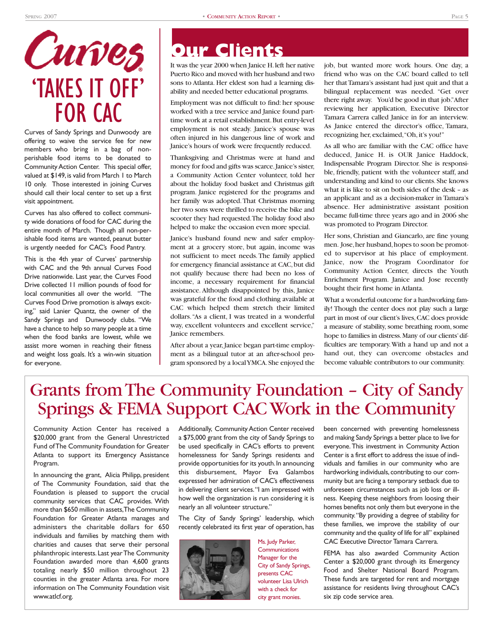# Curves 'TAKES IT OFF' FOR CAC

Curves of Sandy Springs and Dunwoody are offering to waive the service fee for new members who bring in a bag of nonperishable food items to be donated to Community Action Center. This special offer, valued at \$149, is valid from March 1 to March 10 only. Those interested in joining Curves should call their local center to set up a first visit appointment.

Curves has also offered to collect community wide donations of food for CAC during the entire month of March. Though all non-perishable food items are wanted, peanut butter is urgently needed for CAC's Food Pantry.

This is the 4th year of Curves' partnership with CAC and the 9th annual Curves Food Drive nationwide. Last year, the Curves Food Drive collected 11 million pounds of food for local communities all over the world. "The Curves Food Drive promotion is always exciting," said Lanier Quantz, the owner of the Sandy Springs and Dunwoody clubs. "We have a chance to help so many people at a time when the food banks are lowest, while we assist more women in reaching their fitness and weight loss goals. It's a win-win situation for everyone.

# **Our Clients**

It was the year 2000 when Janice H.left her native Puerto Rico and moved with her husband and two sons to Atlanta. Her eldest son had a learning disability and needed better educational programs.

Employment was not difficult to find: her spouse worked with a tree service and Janice found parttime work at a retail establishment.But entry-level employment is not steady. Janice's spouse was often injured in his dangerous line of work and Janice's hours of work were frequently reduced.

Thanksgiving and Christmas were at hand and money for food and gifts was scarce.Janice's sister, a Community Action Center volunteer, told her about the holiday food basket and Christmas gift program. Janice registered for the programs and her family was adopted.That Christmas morning her two sons were thrilled to receive the bike and scooter they had requested.The holiday food also helped to make the occasion even more special.

Janice's husband found new and safer employment at a grocery store, but again, income was not sufficient to meet needs. The family applied for emergency financial assistance at CAC,but did not qualify because there had been no loss of income, a necessary requirement for financial assistance. Although disappointed by this, Janice was grateful for the food and clothing available at CAC which helped them stretch their limited dollars."As a client, I was treated in a wonderful way, excellent volunteers and excellent service," Janice remembers.

After about a year, Janice began part-time employment as a bilingual tutor at an after-school program sponsored by a local YMCA.She enjoyed the job, but wanted more work hours. One day, a friend who was on the CAC board called to tell her that Tamara's assistant had just quit and that a bilingual replacement was needed. "Get over there right away. You'd be good in that job."After reviewing her application, Executive Director Tamara Carrera called Janice in for an interview. As Janice entered the director's office, Tamara, recognizing her, exclaimed,"Oh, it's you!"

As all who are familiar with the CAC office have deduced, Janice H. is OUR Janice Haddock, Indispensable Program Director. She is responsible, friendly, patient with the volunteer staff, and understanding and kind to our clients.She knows what it is like to sit on both sides of the desk – as an applicant and as a decision-maker in Tamara's absence. Her administrative assistant position became full-time three years ago and in 2006 she was promoted to Program Director.

Her sons, Christian and Giancarlo, are fine young men. Jose,her husband,hopes to soon be promoted to supervisor at his place of employment. Janice, now the Program Coordinator for Community Action Center, directs the Youth Enrichment Program. Janice and Jose recently bought their first home in Atlanta.

What a wonderful outcome for a hardworking family! Though the center does not play such a large part in most of our client's lives, CAC does provide a measure of stability, some breathing room, some hope to families in distress.Many of our clients'difficulties are temporary.With a hand up and not a hand out, they can overcome obstacles and become valuable contributors to our community.

# Grants from The Community Foundation – City of Sandy Springs & FEMA Support CAC Work in the Community

Community Action Center has received a \$20,000 grant from the General Unrestricted Fund of The Community Foundation for Greater Atlanta to support its Emergency Assistance Program.

In announcing the grant, Alicia Philipp, president of The Community Foundation, said that the Foundation is pleased to support the crucial community services that CAC provides. With more than \$650 million in assets,The Community Foundation for Greater Atlanta manages and administers the charitable dollars for 650 individuals and families by matching them with charities and causes that serve their personal philanthropic interests.Last year The Community Foundation awarded more than 4,600 grants totaling nearly \$50 million throughout 23 counties in the greater Atlanta area. For more information on The Community Foundation visit www.atlcf.org.

Additionally, Community Action Center received a \$75,000 grant from the city of Sandy Springs to be used specifically in CAC's efforts to prevent homelessness for Sandy Springs residents and provide opportunities for its youth. In announcing this disbursement, Mayor Eva Galambos expressed her admiration of CAC's effectiveness in delivering client services."I am impressed with how well the organization is run considering it is nearly an all volunteer structure."

The City of Sandy Springs' leadership, which recently celebrated its first year of operation, has



Ms. Judy Parker, **Communications** Manager for the City of Sandy Springs, presents CAC volunteer Lisa Ulrich with a check for city grant monies.

been concerned with preventing homelessness and making Sandy Springs a better place to live for everyone. This investment in Community Action Center is a first effort to address the issue of individuals and families in our community who are hardworking individuals, contributing to our community but are facing a temporary setback due to unforeseen circumstances such as job loss or illness. Keeping these neighbors from loosing their homes benefits not only them but everyone in the community."By providing a degree of stability for these families, we improve the stability of our community and the quality of life for all" explained CAC Executive Director Tamara Carrera.

FEMA has also awarded Community Action Center a \$20,000 grant through its Emergency Food and Shelter National Board Program. These funds are targeted for rent and mortgage assistance for residents living throughout CAC's six zip code service area.